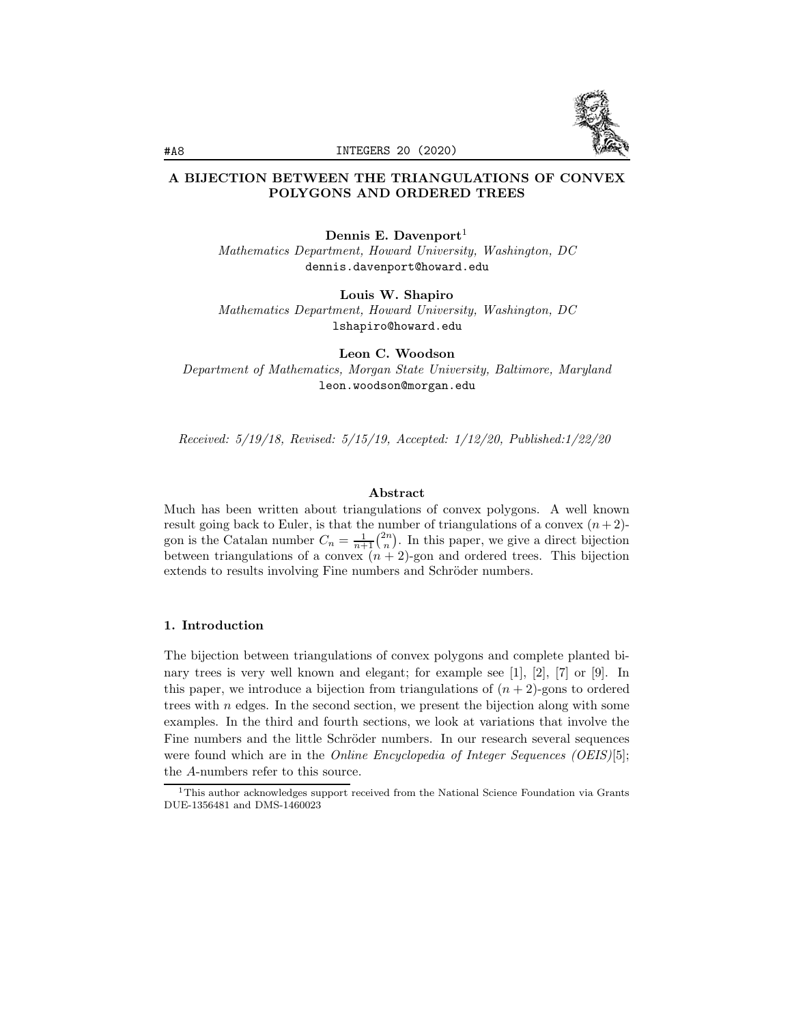

# A BIJECTION BETWEEN THE TRIANGULATIONS OF CONVEX POLYGONS AND ORDERED TREES

Dennis E. Davenport<sup>1</sup>

*Mathematics Department, Howard University, Washington, DC* dennis.davenport@howard.edu

Louis W. Shapiro

*Mathematics Department, Howard University, Washington, DC* lshapiro@howard.edu

Leon C. Woodson *Department of Mathematics, Morgan State University, Baltimore, Maryland* leon.woodson@morgan.edu

*Received: 5/19/18, Revised: 5/15/19, Accepted: 1/12/20, Published:1/22/20*

### Abstract

Much has been written about triangulations of convex polygons. A well known result going back to Euler, is that the number of triangulations of a convex  $(n+2)$ gon is the Catalan number  $C_n = \frac{1}{n+1} {2n \choose n}$ . In this paper, we give a direct bijection between triangulations of a convex  $(n + 2)$ -gon and ordered trees. This bijection extends to results involving Fine numbers and Schröder numbers.

### 1. Introduction

The bijection between triangulations of convex polygons and complete planted binary trees is very well known and elegant; for example see  $\vert 1 \vert, \vert 2 \vert, \vert 7 \vert$  or  $\vert 9 \vert$ . In this paper, we introduce a bijection from triangulations of  $(n+2)$ -gons to ordered trees with *n* edges. In the second section, we present the bijection along with some examples. In the third and fourth sections, we look at variations that involve the Fine numbers and the little Schröder numbers. In our research several sequences were found which are in the *Online Encyclopedia of Integer Sequences (OEIS)*[5]; the *A*-numbers refer to this source.

<sup>1</sup>This author acknowledges support received from the National Science Foundation via Grants DUE-1356481 and DMS-1460023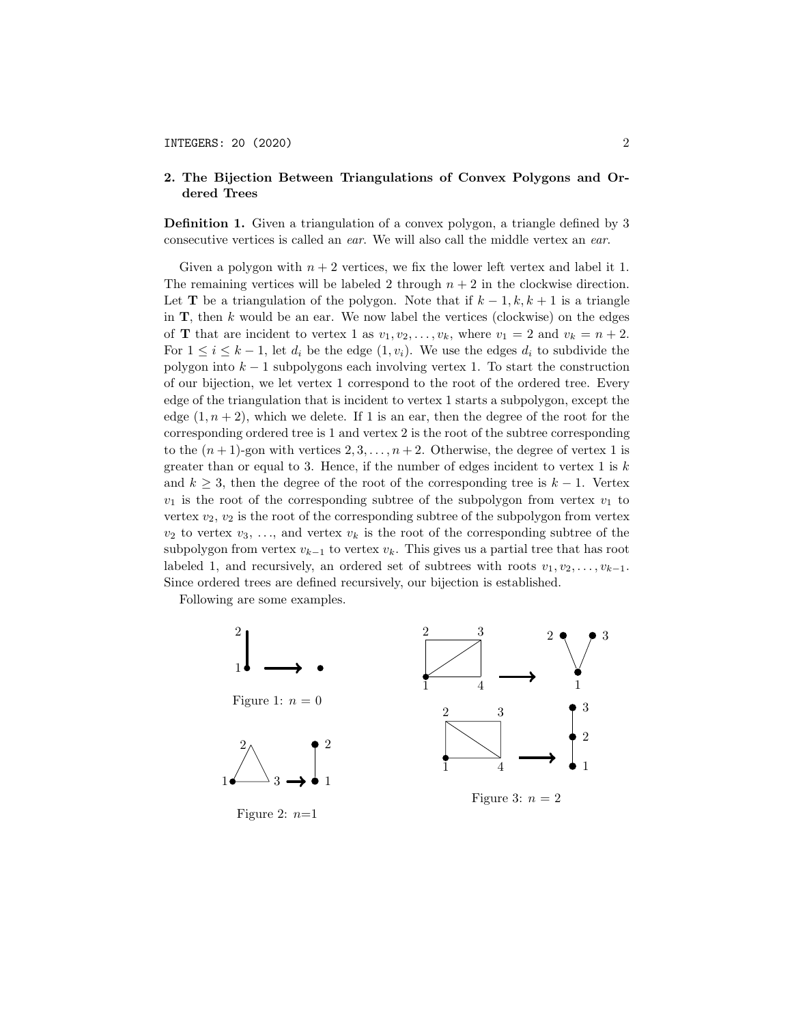### 2. The Bijection Between Triangulations of Convex Polygons and Ordered Trees

Definition 1. Given a triangulation of a convex polygon, a triangle defined by 3 consecutive vertices is called an *ear*. We will also call the middle vertex an *ear*.

Given a polygon with  $n + 2$  vertices, we fix the lower left vertex and label it 1. The remaining vertices will be labeled 2 through  $n + 2$  in the clockwise direction. Let **T** be a triangulation of the polygon. Note that if  $k-1, k, k+1$  is a triangle in T, then *k* would be an ear. We now label the vertices (clockwise) on the edges of **T** that are incident to vertex 1 as  $v_1, v_2, \ldots, v_k$ , where  $v_1 = 2$  and  $v_k = n + 2$ . For  $1 \leq i \leq k-1$ , let  $d_i$  be the edge  $(1, v_i)$ . We use the edges  $d_i$  to subdivide the polygon into *k* − 1 subpolygons each involving vertex 1. To start the construction of our bijection, we let vertex 1 correspond to the root of the ordered tree. Every edge of the triangulation that is incident to vertex 1 starts a subpolygon, except the edge  $(1, n+2)$ , which we delete. If 1 is an ear, then the degree of the root for the corresponding ordered tree is 1 and vertex 2 is the root of the subtree corresponding to the  $(n+1)$ -gon with vertices  $2, 3, \ldots, n+2$ . Otherwise, the degree of vertex 1 is greater than or equal to 3. Hence, if the number of edges incident to vertex 1 is *k* and  $k \geq 3$ , then the degree of the root of the corresponding tree is  $k - 1$ . Vertex  $v_1$  is the root of the corresponding subtree of the subpolygon from vertex  $v_1$  to vertex  $v_2$ ,  $v_2$  is the root of the corresponding subtree of the subpolygon from vertex  $v_2$  to vertex  $v_3$ , ..., and vertex  $v_k$  is the root of the corresponding subtree of the subpolygon from vertex  $v_{k-1}$  to vertex  $v_k$ . This gives us a partial tree that has root labeled 1, and recursively, an ordered set of subtrees with roots  $v_1, v_2, \ldots, v_{k-1}$ . Since ordered trees are defined recursively, our bijection is established.

Following are some examples.

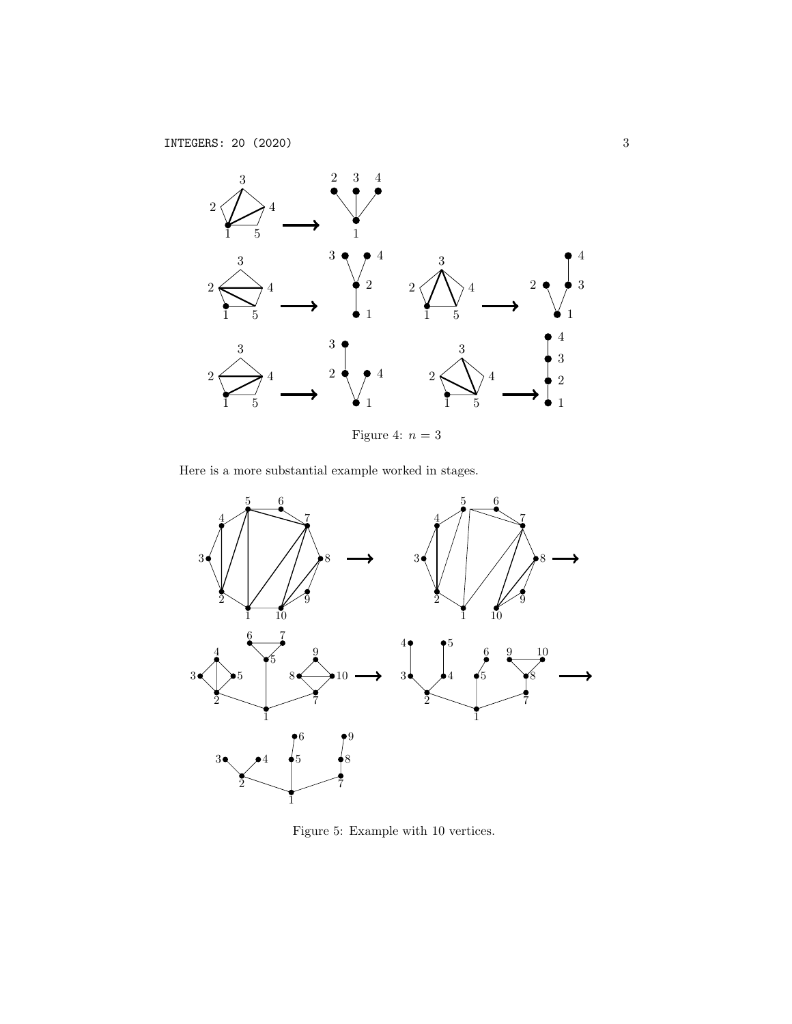

Figure 4:  $n=3$ 

Here is a more substantial example worked in stages.



Figure 5: Example with 10 vertices.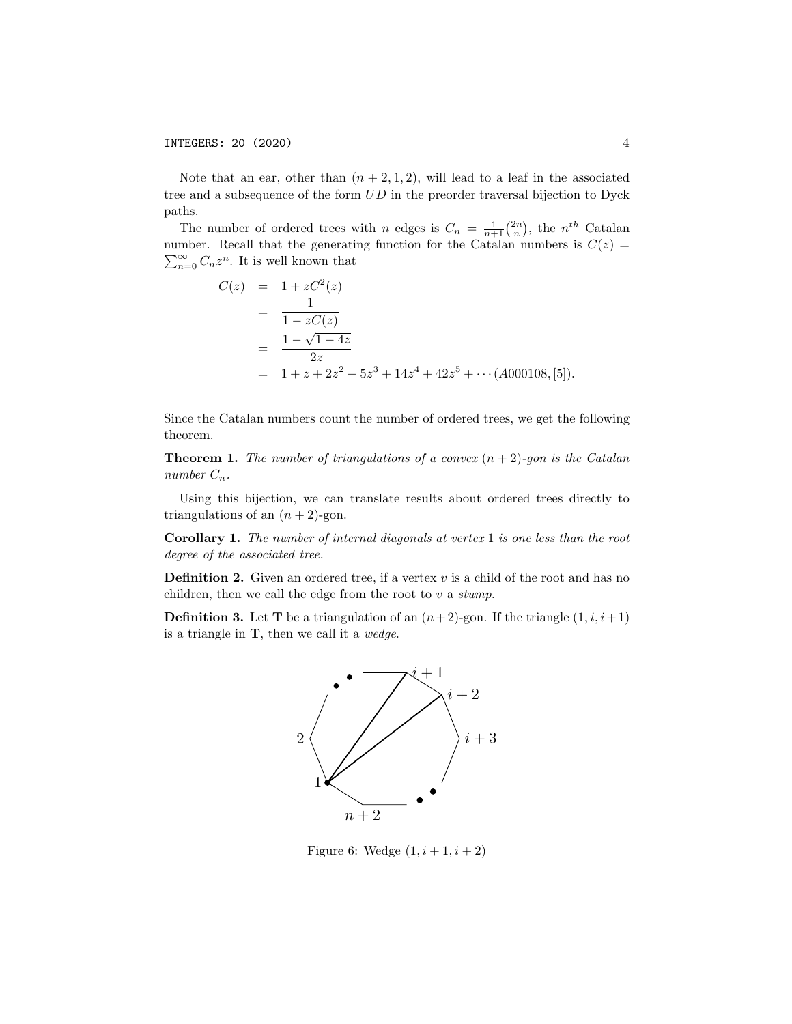Note that an ear, other than  $(n+2,1,2)$ , will lead to a leaf in the associated tree and a subsequence of the form *UD* in the preorder traversal bijection to Dyck paths.

The number of ordered trees with *n* edges is  $C_n = \frac{1}{n+1} {2n \choose n}$ , the *n*<sup>th</sup> Catalan number. Recall that the generating function for the Catalan numbers is  $C(z)$  =  $\sum_{n=0}^{\infty} C_n z^n$ . It is well known that

$$
C(z) = 1 + zC2(z)
$$
  
= 
$$
\frac{1}{1 - zC(z)}
$$
  
= 
$$
\frac{1 - \sqrt{1 - 4z}}{2z}
$$
  
= 
$$
1 + z + 2z2 + 5z3 + 14z4 + 42z5 + \cdots (A000108, [5]).
$$

Since the Catalan numbers count the number of ordered trees, we get the following theorem.

**Theorem 1.** *The number of triangulations of a convex*  $(n + 2)$ -gon is the Catalan *number*  $C_n$ *.* 

Using this bijection, we can translate results about ordered trees directly to triangulations of an  $(n+2)$ -gon.

Corollary 1. *The number of internal diagonals at vertex* 1 *is one less than the root degree of the associated tree.*

**Definition 2.** Given an ordered tree, if a vertex  $v$  is a child of the root and has no children, then we call the edge from the root to *v* a *stump*.

**Definition 3.** Let **T** be a triangulation of an  $(n+2)$ -gon. If the triangle  $(1, i, i+1)$ is a triangle in T, then we call it a *wedge*.



Figure 6: Wedge  $(1, i + 1, i + 2)$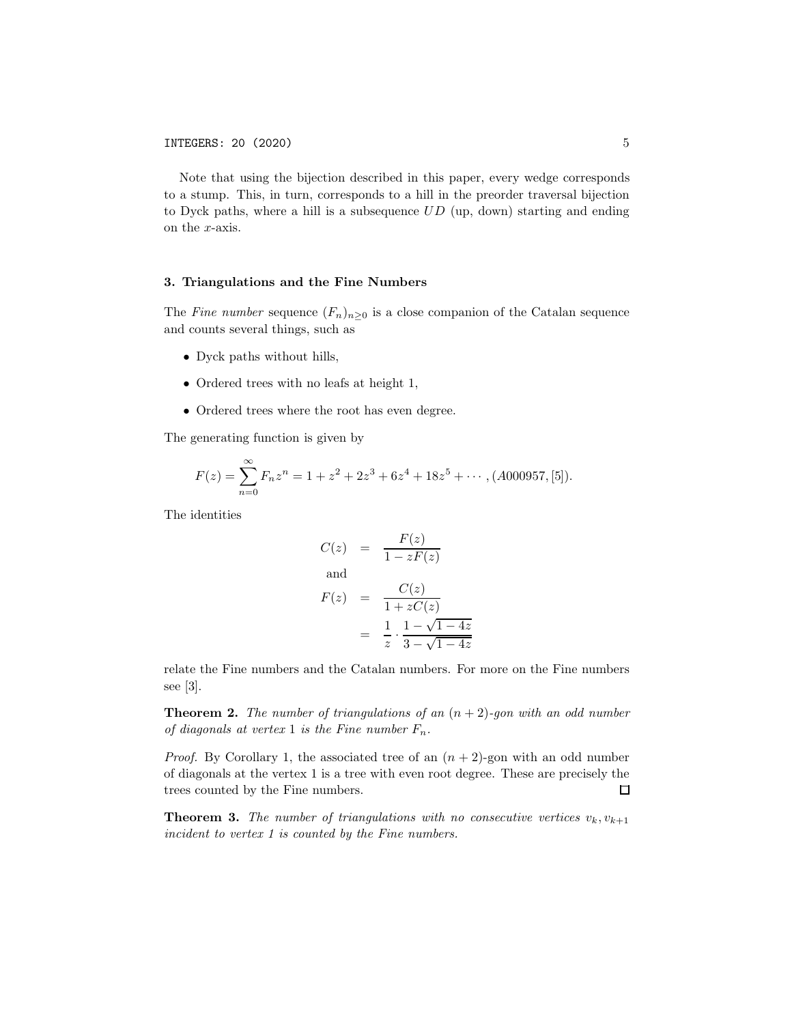Note that using the bijection described in this paper, every wedge corresponds to a stump. This, in turn, corresponds to a hill in the preorder traversal bijection to Dyck paths, where a hill is a subsequence *UD* (up, down) starting and ending on the *x*-axis.

#### 3. Triangulations and the Fine Numbers

The *Fine number* sequence  $(F_n)_{n\geq 0}$  is a close companion of the Catalan sequence and counts several things, such as

- *•* Dyck paths without hills,
- *•* Ordered trees with no leafs at height 1,
- Ordered trees where the root has even degree.

The generating function is given by

$$
F(z) = \sum_{n=0}^{\infty} F_n z^n = 1 + z^2 + 2z^3 + 6z^4 + 18z^5 + \cdots, (A000957, [5]).
$$

The identities

$$
C(z) = \frac{F(z)}{1 - zF(z)}
$$
  
and  

$$
F(z) = \frac{C(z)}{1 + zC(z)}
$$
  

$$
= \frac{1}{z} \cdot \frac{1 - \sqrt{1 - 4z}}{3 - \sqrt{1 - 4z}}
$$

relate the Fine numbers and the Catalan numbers. For more on the Fine numbers see [3].

Theorem 2. *The number of triangulations of an* (*n* + 2)*-gon with an odd number of diagonals at vertex* 1 *is the Fine number*  $F_n$ .

*Proof.* By Corollary 1, the associated tree of an  $(n+2)$ -gon with an odd number of diagonals at the vertex 1 is a tree with even root degree. These are precisely the trees counted by the Fine numbers.  $\Box$ 

**Theorem 3.** The number of triangulations with no consecutive vertices  $v_k, v_{k+1}$ *incident to vertex 1 is counted by the Fine numbers.*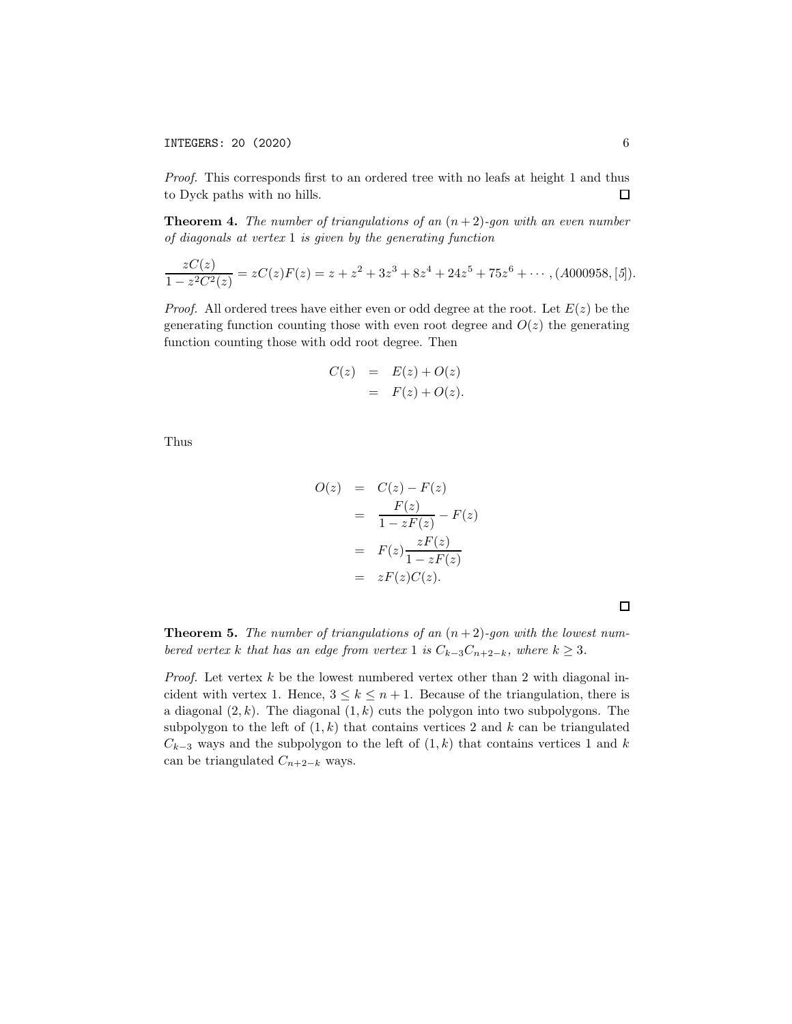INTEGERS: 20 (2020) 6

*Proof.* This corresponds first to an ordered tree with no leafs at height 1 and thus to Dyck paths with no hills.  $\Box$ 

Theorem 4. *The number of triangulations of an* (*n* + 2)*-gon with an even number of diagonals at vertex* 1 *is given by the generating function*

$$
\frac{zC(z)}{1-z^2C^2(z)}=zC(z)F(z)=z+z^2+3z^3+8z^4+24z^5+75z^6+\cdots,(A000958,[5]).
$$

*Proof.* All ordered trees have either even or odd degree at the root. Let  $E(z)$  be the generating function counting those with even root degree and  $O(z)$  the generating function counting those with odd root degree. Then

$$
C(z) = E(z) + O(z)
$$
  
= 
$$
F(z) + O(z).
$$

Thus

$$
O(z) = C(z) - F(z)
$$
  
= 
$$
\frac{F(z)}{1 - zF(z)} - F(z)
$$
  
= 
$$
F(z) \frac{zF(z)}{1 - zF(z)}
$$
  
= 
$$
zF(z)C(z).
$$

 $\Box$ 

Theorem 5. *The number of triangulations of an* (*n* + 2)*-gon with the lowest numbered vertex k that has an edge from vertex* 1 *is*  $C_{k-3}C_{n+2-k}$ *, where*  $k \geq 3$ *.* 

*Proof.* Let vertex *k* be the lowest numbered vertex other than 2 with diagonal incident with vertex 1. Hence,  $3 \leq k \leq n+1$ . Because of the triangulation, there is a diagonal (2*, k*). The diagonal (1*, k*) cuts the polygon into two subpolygons. The subpolygon to the left of  $(1, k)$  that contains vertices 2 and  $k$  can be triangulated  $C_{k-3}$  ways and the subpolygon to the left of  $(1, k)$  that contains vertices 1 and *k* can be triangulated  $C_{n+2-k}$  ways.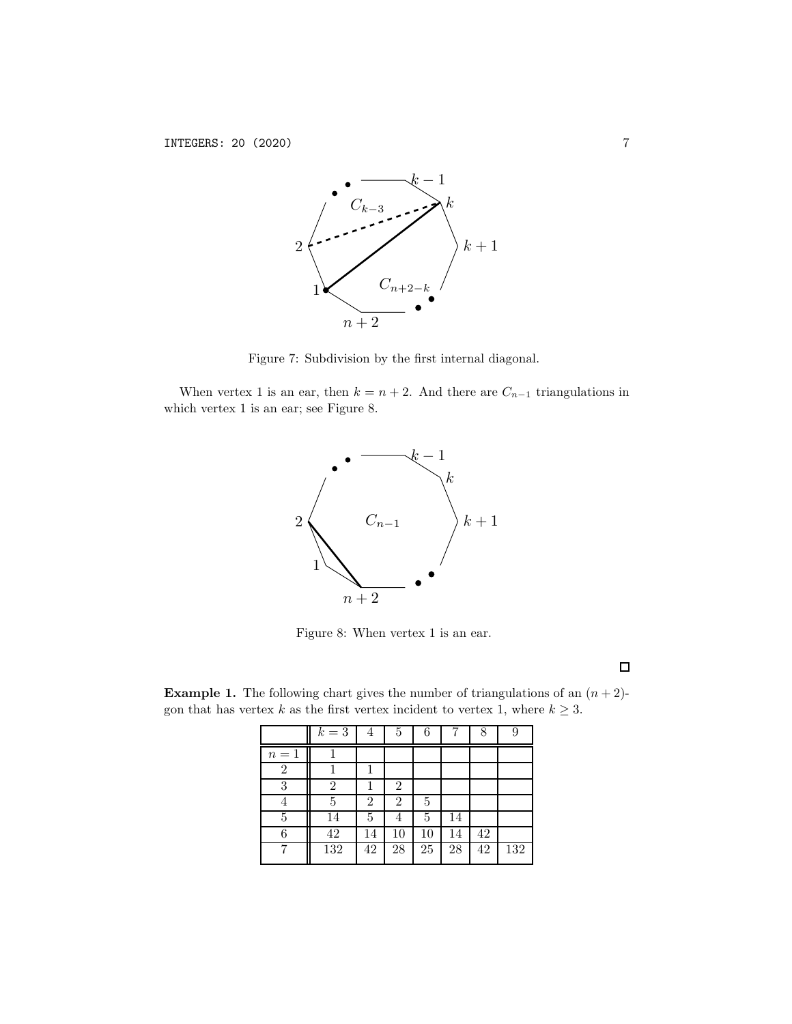

Figure 7: Subdivision by the first internal diagonal.

When vertex 1 is an ear, then  $k = n + 2$ . And there are  $C_{n-1}$  triangulations in which vertex 1 is an ear; see Figure 8.



Figure 8: When vertex 1 is an ear.

 $\Box$ 

**Example 1.** The following chart gives the number of triangulations of an  $(n+2)$ gon that has vertex *k* as the first vertex incident to vertex 1, where  $k \geq 3$ .

|                | $k=3$ | 4              | 5              | 6  |    | 8  | 9   |
|----------------|-------|----------------|----------------|----|----|----|-----|
| $n=1$          |       |                |                |    |    |    |     |
| $\overline{2}$ |       |                |                |    |    |    |     |
| 3              | 2     |                | 2              |    |    |    |     |
| 4              | 5     | $\overline{2}$ | $\overline{2}$ | 5  |    |    |     |
| 5              | 14    | 5              | 4              | 5  | 14 |    |     |
| 6              | 42    | 14             | 10             | 10 | 14 | 42 |     |
|                | 132   | 42             | 28             | 25 | 28 | 42 | 132 |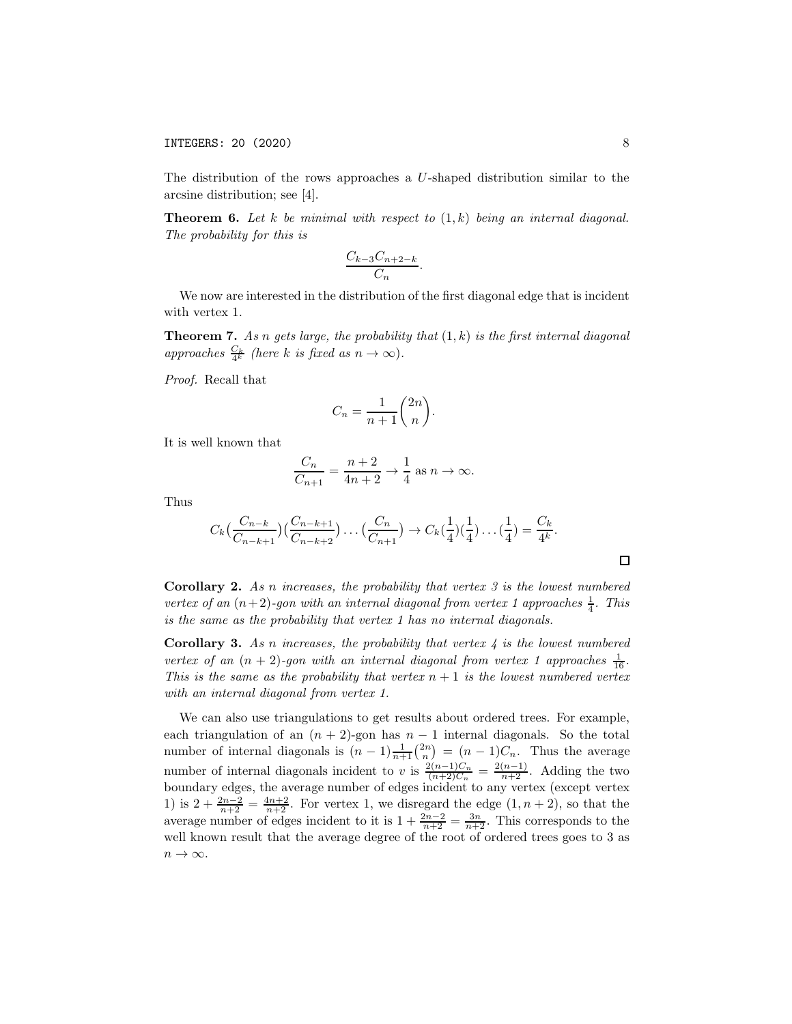The distribution of the rows approaches a *U*-shaped distribution similar to the arcsine distribution; see [4].

Theorem 6. *Let k be minimal with respect to* (1*, k*) *being an internal diagonal. The probability for this is*

$$
\frac{C_{k-3}C_{n+2-k}}{C_n}.
$$

We now are interested in the distribution of the first diagonal edge that is incident with vertex 1.

Theorem 7. *As n gets large, the probability that* (1*, k*) *is the first internal diagonal*  $approaches \frac{C_k}{4^k}$  (here *k* is fixed as  $n \to \infty$ ).

*Proof.* Recall that

$$
C_n = \frac{1}{n+1} \binom{2n}{n}.
$$

It is well known that

$$
\frac{C_n}{C_{n+1}} = \frac{n+2}{4n+2} \to \frac{1}{4} \text{ as } n \to \infty.
$$

Thus

$$
C_k\left(\frac{C_{n-k}}{C_{n-k+1}}\right)\left(\frac{C_{n-k+1}}{C_{n-k+2}}\right)\dots\left(\frac{C_n}{C_{n+1}}\right) \to C_k\left(\frac{1}{4}\right)\left(\frac{1}{4}\right)\dots\left(\frac{1}{4}\right) = \frac{C_k}{4^k}.
$$

Corollary 2. *As n increases, the probability that vertex 3 is the lowest numbered vertex of an*  $(n+2)$ -gon with an internal diagonal from vertex 1 approaches  $\frac{1}{4}$ *. This is the same as the probability that vertex 1 has no internal diagonals.*

Corollary 3. *As n increases, the probability that vertex 4 is the lowest numbered vertex of an*  $(n + 2)$ -gon with an internal diagonal from vertex 1 approaches  $\frac{1}{16}$ . *This is the same as the probability that vertex*  $n+1$  *is the lowest numbered vertex with an internal diagonal from vertex 1.*

We can also use triangulations to get results about ordered trees. For example, each triangulation of an  $(n + 2)$ -gon has  $n - 1$  internal diagonals. So the total number of internal diagonals is  $(n-1)\frac{1}{n+1}\binom{2n}{n} = (n-1)C_n$ . Thus the average number of internal diagonals incident to *v* is  $\frac{2(n-1)C_n}{(n+2)C_n} = \frac{2(n-1)}{n+2}$ . Adding the two boundary edges, the average number of edges incident to any vertex (except vertex 1) is  $2 + \frac{2n-2}{n+2} = \frac{4n+2}{n+2}$ . For vertex 1, we disregard the edge  $(1, n+2)$ , so that the average number of edges incident to it is  $1 + \frac{2n-2}{n+2} = \frac{3n}{n+2}$ . This corresponds to the well known result that the average degree of the root of ordered trees goes to 3 as  $n \to \infty$ .

 $\Box$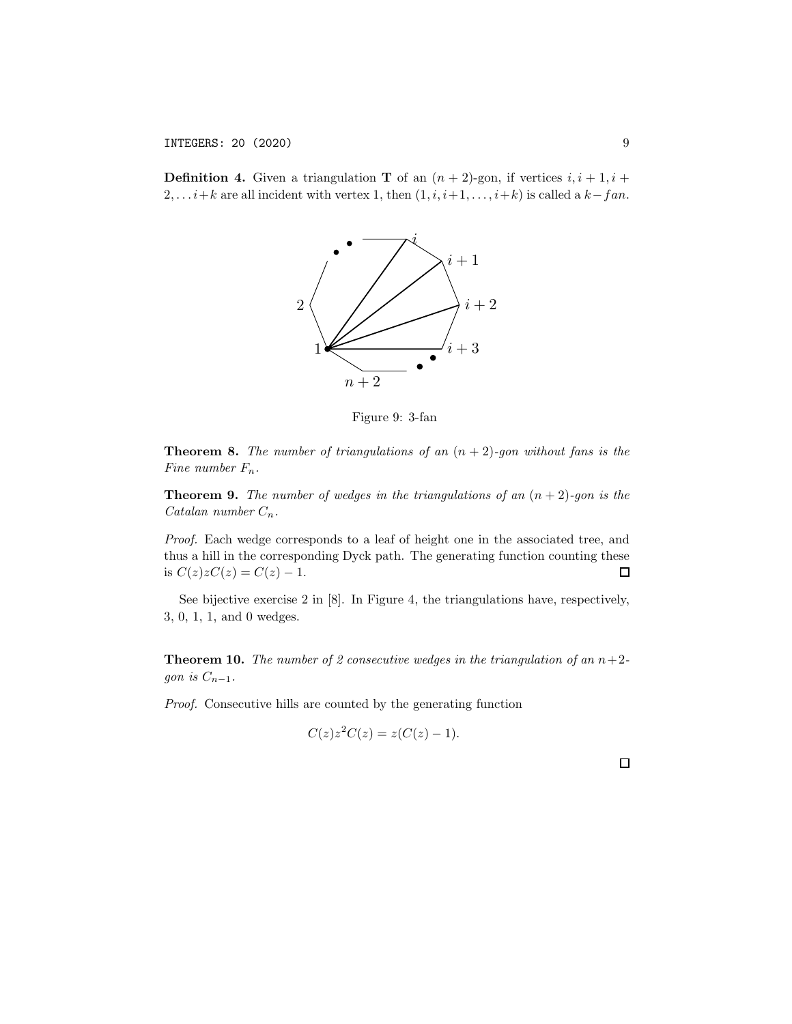**Definition 4.** Given a triangulation **T** of an  $(n + 2)$ -gon, if vertices  $i, i + 1, i + 1$ 2,...*i*+*k* are all incident with vertex 1, then  $(1, i, i+1, \ldots, i+k)$  is called a *k*−*fan*.



Figure 9: 3-fan

Theorem 8. *The number of triangulations of an* (*n* + 2)*-gon without fans is the Fine number Fn.*

Theorem 9. *The number of wedges in the triangulations of an* (*n* + 2)*-gon is the Catalan number Cn.*

*Proof.* Each wedge corresponds to a leaf of height one in the associated tree, and thus a hill in the corresponding Dyck path. The generating function counting these is  $C(z)zC(z) = C(z) - 1$ .  $\Box$ 

See bijective exercise 2 in [8]. In Figure 4, the triangulations have, respectively, 3, 0, 1, 1, and 0 wedges.

**Theorem 10.** *The number of 2 consecutive wedges in the triangulation of an*  $n+2$ *gon is*  $C_{n-1}$ *.* 

*Proof.* Consecutive hills are counted by the generating function

$$
C(z)z^2C(z) = z(C(z) - 1).
$$

 $\Box$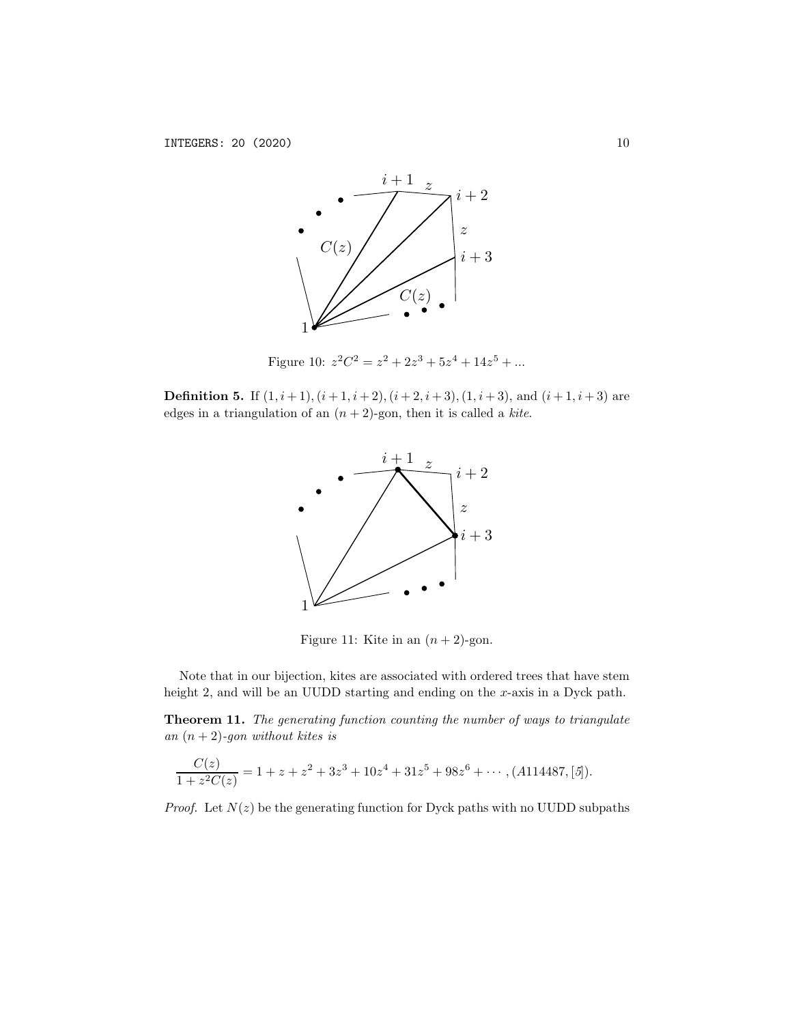

Figure 10:  $z^2C^2 = z^2 + 2z^3 + 5z^4 + 14z^5 + ...$ 

**Definition 5.** If  $(1, i+1)$ ,  $(i+1, i+2)$ ,  $(i+2, i+3)$ ,  $(1, i+3)$ , and  $(i+1, i+3)$  are edges in a triangulation of an  $(n+2)$ -gon, then it is called a *kite*.



Figure 11: Kite in an  $(n+2)$ -gon.

Note that in our bijection, kites are associated with ordered trees that have stem height 2, and will be an UUDD starting and ending on the *x*-axis in a Dyck path.

Theorem 11. *The generating function counting the number of ways to triangulate an* (*n* + 2)*-gon without kites is*

$$
\frac{C(z)}{1+z^2C(z)} = 1 + z + z^2 + 3z^3 + 10z^4 + 31z^5 + 98z^6 + \cdots, (A114487, [5]).
$$

*Proof.* Let  $N(z)$  be the generating function for Dyck paths with no UUDD subpaths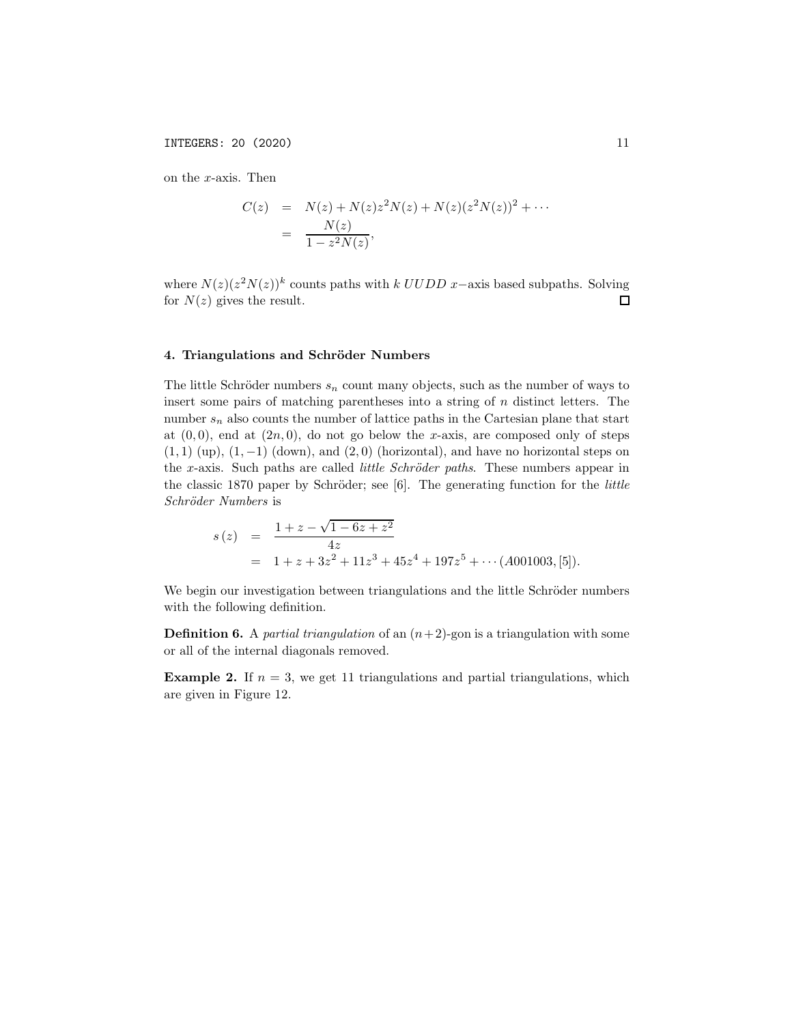on the *x*-axis. Then

$$
C(z) = N(z) + N(z)z2N(z) + N(z)(z2N(z))2 + \cdots
$$
  
= 
$$
\frac{N(z)}{1 - z2N(z)},
$$

where  $N(z)(z^2N(z))^k$  counts paths with *k UUDD x*−axis based subpaths. Solving for  $N(z)$  gives the result. for  $N(z)$  gives the result.

## 4. Triangulations and Schröder Numbers

The little Schröder numbers  $s_n$  count many objects, such as the number of ways to insert some pairs of matching parentheses into a string of *n* distinct letters. The number  $s_n$  also counts the number of lattice paths in the Cartesian plane that start at  $(0,0)$ , end at  $(2n,0)$ , do not go below the *x*-axis, are composed only of steps (1*,* 1) (up), (1*,* −1) (down), and (2*,* 0) (horizontal), and have no horizontal steps on the *x*-axis. Such paths are called *little Schröder paths*. These numbers appear in the classic 1870 paper by Schröder; see [6]. The generating function for the *little Schr¨oder Numbers* is

$$
s(z) = \frac{1+z-\sqrt{1-6z+z^2}}{4z}
$$
  
= 1 + z + 3z<sup>2</sup> + 11z<sup>3</sup> + 45z<sup>4</sup> + 197z<sup>5</sup> + · · · (A001003, [5]).

We begin our investigation between triangulations and the little Schröder numbers with the following definition.

**Definition 6.** A *partial triangulation* of an  $(n+2)$ -gon is a triangulation with some or all of the internal diagonals removed.

**Example 2.** If  $n = 3$ , we get 11 triangulations and partial triangulations, which are given in Figure 12.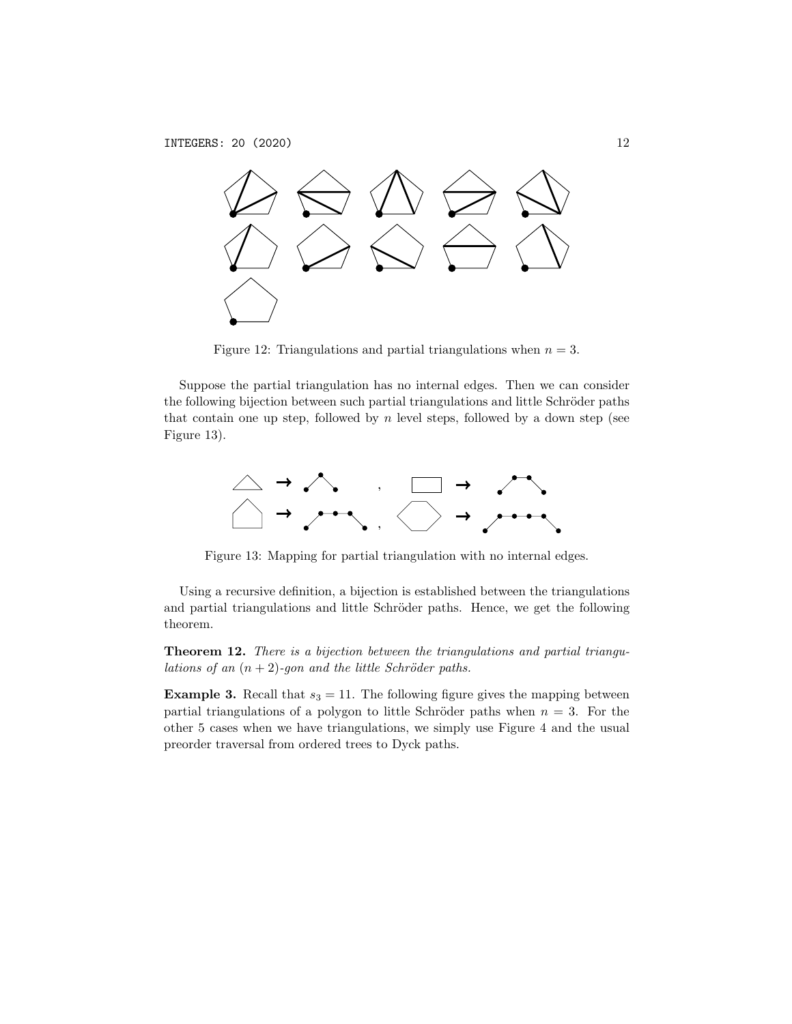

Figure 12: Triangulations and partial triangulations when  $n = 3$ .

Suppose the partial triangulation has no internal edges. Then we can consider the following bijection between such partial triangulations and little Schröder paths that contain one up step, followed by  $n$  level steps, followed by a down step (see Figure 13).



Figure 13: Mapping for partial triangulation with no internal edges.

Using a recursive definition, a bijection is established between the triangulations and partial triangulations and little Schröder paths. Hence, we get the following theorem.

Theorem 12. *There is a bijection between the triangulations and partial triangulations of an*  $(n+2)$ *-gon and the little Schröder paths.* 

**Example 3.** Recall that  $s_3 = 11$ . The following figure gives the mapping between partial triangulations of a polygon to little Schröder paths when  $n = 3$ . For the other 5 cases when we have triangulations, we simply use Figure 4 and the usual preorder traversal from ordered trees to Dyck paths.